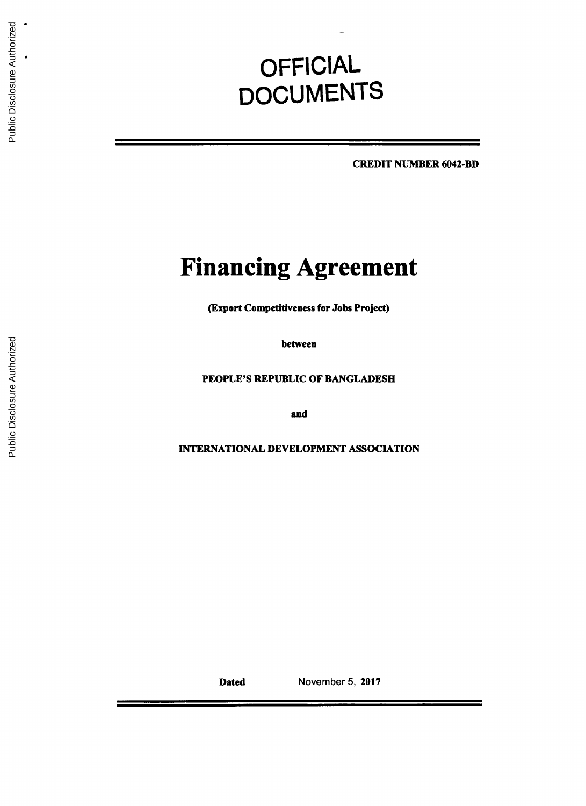# **OFFICIAL DOCUMENTS**

**CREDIT NUMBER** 6042-BD

# **Financing Agreement**

(Export Competitiveness for Jobs Project)

between

**PEOPLE'S** REPUBLIC OF **BANGLADESH**

and

INTERNATIONAL **DEVELOPMENT ASSOCIATION**

Dated November **5, 2017**

÷.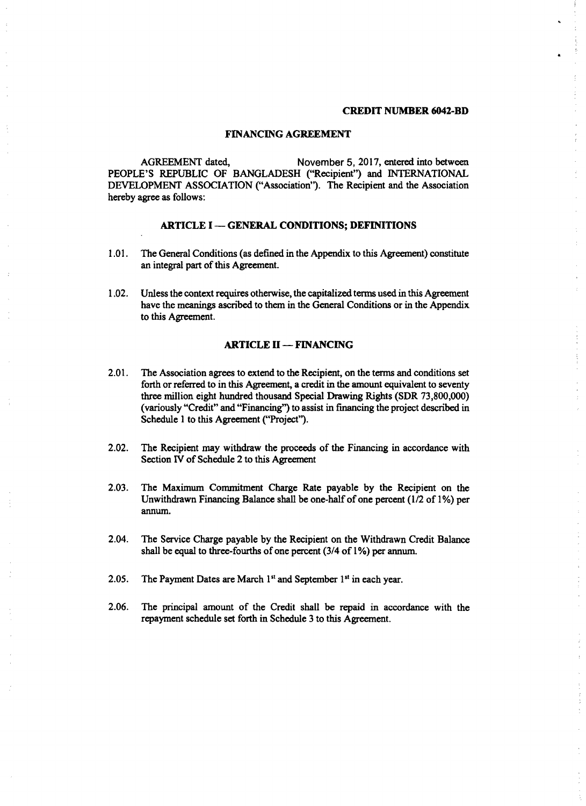#### **CREDIT NUMBER** 6042-BD

 $\ddot{\cdot}$ 

#### **FINANCING AGREEMENT**

**AGREEMENT** dated, November **5, 2017,** entered into between **PEOPLE'S** REPUBLIC OF **BANGLADESH** ("Recipient") and INTERNATIONAL **DEVELOPMENT ASSOCIATION** ("Association). The Recipient and the Association hereby agree as follows:

#### **ARTICLE I - GENERAL CONDITIONS; DEFINITIONS**

- **1.01.** The General Conditions (as defined in the Appendix to this Agreement) constitute an integral part of this Agreement.
- 1.02. Unless the context requires otherwise, the capitalized terms used in this Agreement have the meanings ascribed to them in the General Conditions or in the Appendix to this Agreement.

#### **ARTICLE II -- FINANCING**

- 2.01. The Association agrees to extend to the Recipient, on the terms and conditions set forth or referred to in this Agreement, a credit in the amount equivalent to seventy three million eight hundred thousand Special Drawing Rights (SDR **73,800,000)** (variously "Credit" and "Financing") to assist in financing the project described in Schedule 1 to this Agreement ("Project").
- 2.02. The Recipient may withdraw the proceeds of the Financing in accordance with Section IV of Schedule 2 to this Agreement
- **2.03.** The Maximum Commitment Charge Rate payable **by** the Recipient on the Unwithdrawn Financing Balance shall be one-half of one percent **(1/2** of **1%)** per annum.
- 2.04. The Service Charge payable **by** the Recipient on the Withdrawn Credit Balance shall be equal to three-fourths of one percent (3/4 of **1%)** per annum.
- **2.05.** The Payment Dates are March **I"** and September **I'** in each year.
- **2.06.** The principal amount of the Credit shall be repaid in accordance with the repayment schedule set forth in Schedule **3** to this Agreement.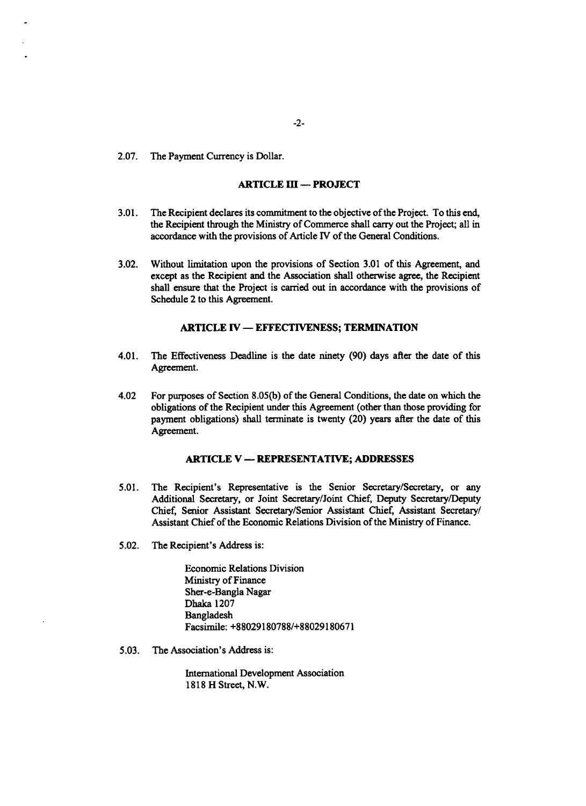**2.07.** The Payment Currency is Dollar.

# **ARTICLE** III **- PROJECT**

- **3.01.** The Recipient declares its commitment to the objective of the Project. To this end, the Recipient through the Ministry of Commerce shall carry out the Project; all in accordance with the provisions of Article IV of the General Conditions.
- **3.02.** Without limitation upon the provisions of Section **3.01** of this Agreement, and except as the Recipient and the Association shall otherwise agree, the Recipient shall ensure that the Project is carried out in accordance with the provisions of Schedule 2 to this Agreement.

## **ARTICLE IV - EFFECTIVENESS;** TERMINATION

- 4.01. The Effectiveness Deadline is the date ninety **(90)** days after the date of this Agreement.
- 4.02 For purposes of Section **8.05(b)** of the General Conditions, the date on which the obligations of the Recipient under this Agreement (other than those providing for payment obligations) shall terminate is twenty (20) years after the date of this Agreement.

#### **ARTICLE** V **- REPRESENTATIVE; ADDRESSES**

- *5.01.* The Recipient's Representative is the Senior Secretary/Secretary, or any Additional Secretary, or Joint Secretary/Joint Chief, Deputy Secretary/Deputy Chief, Senior Assistant Secretary/Senior Assistant Chief, Assistant Secretary/ Assistant Chief of the Economic Relations Division of the Ministry of Finance.
- **5.02.** The Recipient's Address is:

Economic Relations Division Ministry of Finance Sher-e-Bangla Nagar Dhaka **1207** Bangladesh Facsimile: **+88029180788/+88029180671**

*5.03.* The Association's Address is:

International Development Association **1818** H Street, N.W.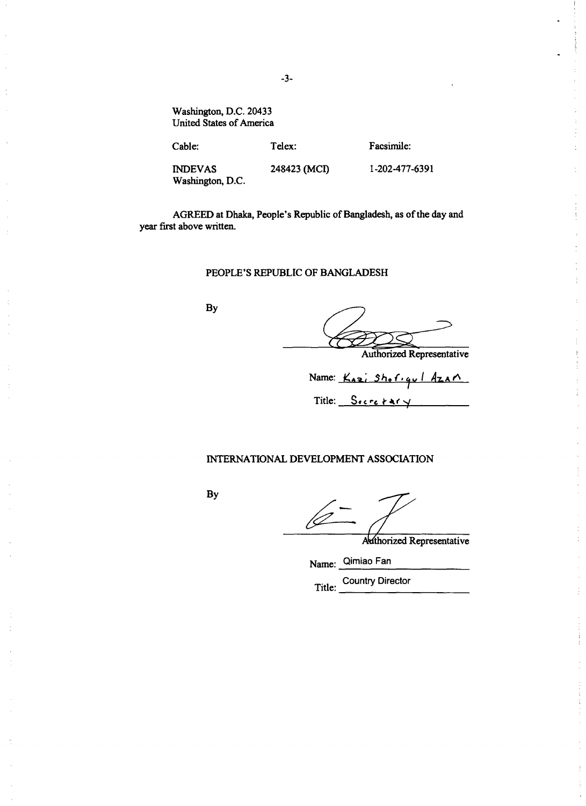Washington, **D.C.** 20433 United States of America

Cable: Telex: Facsimile: **INDEVAS** 248423 **(MCI) 1-202-477-6391** Washington, **D.C.**

AGREED at Dhaka, People's Republic of Bangladesh, as of the day and year first above written.

## **PEOPLE'S** REPUBLIC OF **BANGLADESH**

By

Authorized Representative

Ă

 $\mathbf{i}$ 

Name: <u>Kazi Shof gul Azar</u>

 $Title:$   $Sercetary$ 

# **INTERNATIONAL DEVELOPMENT ASSOCIATION**

**By**

Authorized Representative

Name: Qimiao Fan

Title: Country Director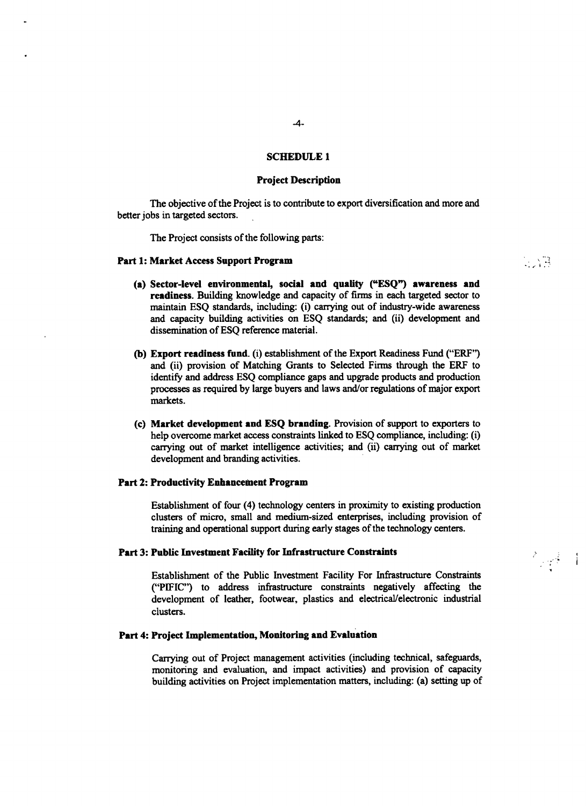## **SCHEDULE 1**

#### **Project Description**

**The** objective of the Project is to contribute to export diversification and more and better jobs in targeted sectors.

The Project consists of the following parts:

#### Part **1:** Market Access Support Program

(a) Sector-level environmental, social and quality **("ESQ")** awareness and readiness. Building knowledge and capacity of firms in each targeted sector to maintain **ESQ** standards, including: (i) carrying out of industry-wide awareness and capacity building activities on **ESQ** standards; and (ii) development and dissemination of **ESQ** reference material.

ं भी प

各类生

- **(b)** Export readiness fund. (i) establishment of the Export Readiness Fund ("ERF') and (ii) provision of Matching Grants to Selected Firms through the ERF to identify and address **ESQ** compliance gaps and upgrade products and production processes as required **by** large buyers and laws and/or regulations of major export markets.
- (c) Market development and **ESQ** branding. Provision of support to exporters to help overcome market access constraints linked to **ESQ** compliance, including: (i) carrying out of market intelligence activities; and (ii) carrying out of market development and branding activities.

#### **Part 2: Productivity Enhancement Program**

Establishment of four (4) technology centers in proximity to existing production clusters of micro, small and medium-sized enterprises, including provision of training and operational support during early stages of the technology centers.

#### **Part 3: Public** Investment Facility for **Infrastructure** Constraints

Establishment of the Public Investment Facility For Infrastructure Constraints ("PIFIC") to address infrastructure constraints negatively affecting the development of leather, footwear, plastics and electrical/electronic industrial clusters.

## **Part 4:** Project **Implementation, Monitoring and Evaluation**

Carrying out of Project management activities (including technical, safeguards, monitoring and evaluation, and impact activities) and provision of capacity building activities on Project implementation matters, including: (a) setting up of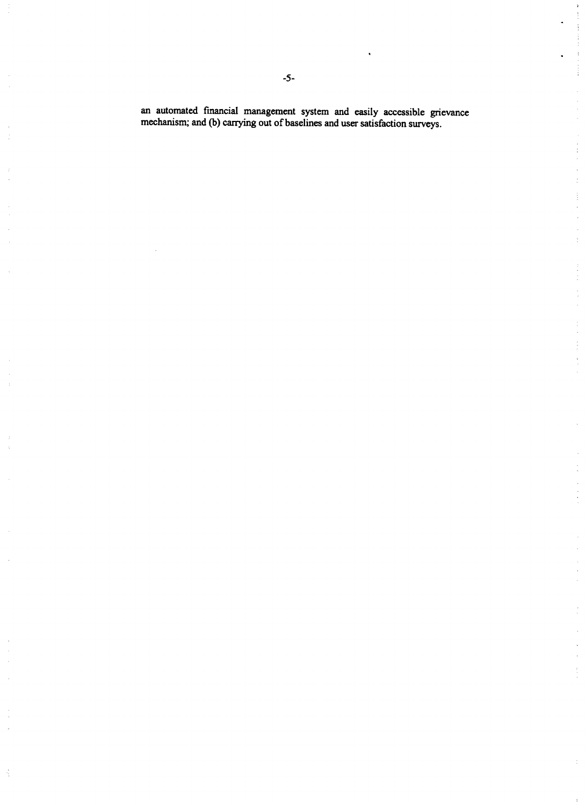an automated financial management system and easily accessible grievance mechanism; and **(b)** carrying out of baselines and user satisfaction surveys.

 $\frac{1}{2}$ 

 $\label{eq:2.1} \frac{1}{\sqrt{2}}\int_{-\pi}^{\pi} \frac{1}{\sqrt{2}}\left(\frac{1}{\sqrt{2}}\right)^2\frac{1}{\sqrt{2}}\left(\frac{1}{\sqrt{2}}\right)^2\frac{1}{\sqrt{2}}\frac{1}{\sqrt{2}}\frac{1}{\sqrt{2}}\frac{1}{\sqrt{2}}\frac{1}{\sqrt{2}}\frac{1}{\sqrt{2}}\frac{1}{\sqrt{2}}\frac{1}{\sqrt{2}}\frac{1}{\sqrt{2}}\frac{1}{\sqrt{2}}\frac{1}{\sqrt{2}}\frac{1}{\sqrt{2}}\frac{1}{\sqrt{2}}\frac{1}{\sqrt{2$ 

 $\overline{\phantom{a}}$ 

 $\frac{1}{2}$ 

 $\frac{1}{2}$ 

 $\frac{1}{2}$ 

 $\begin{array}{c} \frac{1}{2} \\ \frac{1}{2} \end{array}$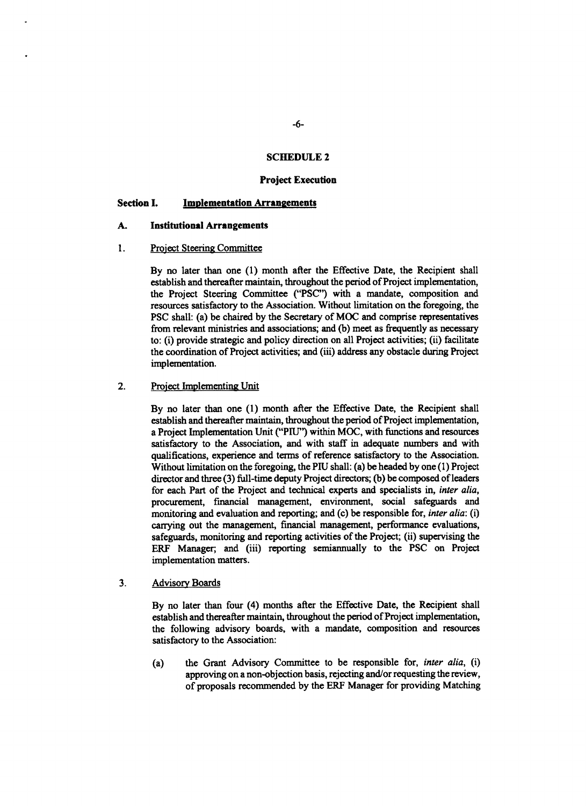## **SCHEDULE** 2

#### **Project Execution**

#### **Section I. 1 Implementation Arrangements**

#### **A. Institutional Arrangements**

#### 1. Project Steering Committee

**By** no later than one **(1)** month after the Effective Date, the Recipient shall establish and thereafter maintain, throughout the period of Project implementation, the Project Steering Committee **("PSC")** with a mandate, composition and resources satisfactory to the Association. Without limitation on the foregoing, the **PSC** shall: (a) be chaired **by** the Secretary of **MOC** and comprise representatives from relevant ministries and associations; and **(b)** meet as frequently as necessary to: (i) provide strategic and policy direction on all Project activities; (ii) facilitate the coordination of Project activities; and (iii) address any obstacle during Project implementation.

## 2. Project Implementing Unit

**By** no later than one **(1)** month after the Effective Date, the Recipient shall establish and thereafter maintain, throughout the period of Project implementation, a Project Implementation Unit ("Pll") within **MOC,** with functions and resources satisfactory to the Association, and with staff in adequate numbers and with qualifications, experience and terms of reference satisfactory to the Association. Without limitation on the foregoing, the **PIU** shall: (a) be headed **by** one **(1)** Project director and three **(3)** full-time deputy Project directors; **(b)** be composed of leaders for each Part of the Project and technical experts and specialists in, *inter alia,* procurement, financial management, environment, social safeguards and monitoring and evaluation and reporting; and (c) be responsible for, *inter alia: (i)* carrying out the management, financial management, performance evaluations, safeguards, monitoring and reporting activities of the Project; (ii) supervising the ERF Manager; and (iii) reporting semiannually to the **PSC** on Project implementation matters.

#### **3.** Advisory Boards

**By** no later than four *(4)* months after the Effective Date, the Recipient shall establish and thereafter maintain, throughout the period of Project implementation, the following advisory boards, with a mandate, composition and resources satisfactory to the Association:

(a) the Grant Advisory Committee to be responsible for, *inter alia, (i)* approving on a non-objection basis, rejecting and/or requesting the review, of proposals recommended **by** the ERF Manager for providing Matching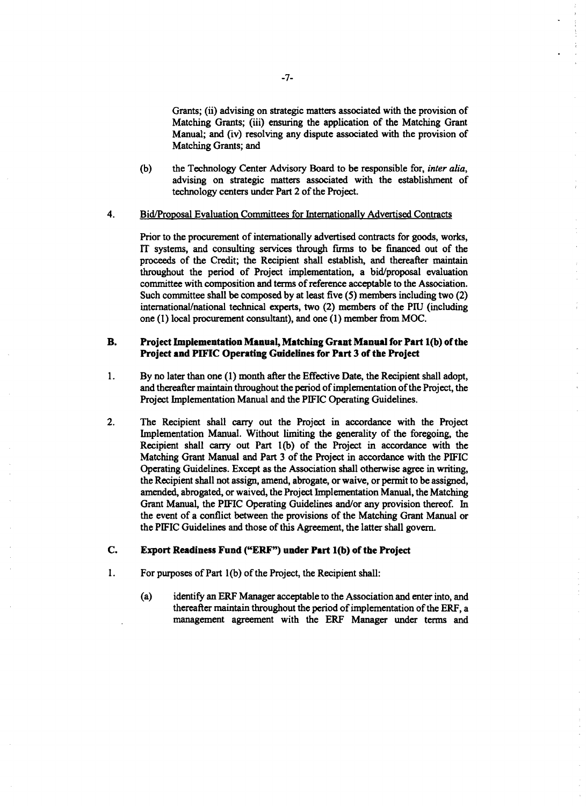Grants; *(ii)* advising on strategic matters associated with the provision of Matching Grants; (iii) ensuring the application of the Matching Grant Manual; and *(iv)* resolving any dispute associated with the provision of Matching Grants; and

**(b)** the Technology Center Advisory Board to be responsible for, *inter alia,* advising on strategic matters associated with the establishment of technology centers under Part 2 of the Project.

#### 4. Bid/Proposal Evaluation Committees for Internationally Advertised Contracts

Prior to the procurement of internationally advertised contracts for goods, works, IT systems, and consulting services through **firms** to be financed out of the proceeds of the Credit; the Recipient shall establish, and thereafter maintain throughout the period of Project implementation, a bid/proposal evaluation committee with composition and terms of reference acceptable to the Association. Such committee shall be composed **by** at least five *(5)* members including two (2) international/national technical experts, two (2) members of the **PIU** (including one **(1)** local procurement consultant), and one **(1)** member from **MOC.**

## B. **Project Implementation Manual, Matching Grant Manual for Part 1(b) of the Project and PIFIC Operating Guidelines for Part 3 of the Project**

- 1 **. By no later** than one **(1)** month after the Effective Date, the Recipient shall adopt, and thereafter maintain throughout the period of implementation of the Project, the Project Implementation Manual and the PIFIC Operating Guidelines.
- 2. The Recipient shall carry out the Project in accordance with the Project Implementation Manual. Without limiting the generality of the foregoing, the Recipient shall carry out Part **1(b)** of the Project in accordance with the Matching Grant Manual and Part **3** of the Project in accordance with the PIFIC Operating Guidelines. Except as the Association shall otherwise agree in writing, the Recipient shall not assign, amend, abrogate, or waive, or permit to be assigned, amended, abrogated, or waived, the Project Implementation Manual, the Matching Grant Manual, the PIFIC Operating Guidelines and/or any provision thereof. In the event of a conflict between the provisions of the Matching Grant Manual or the **PIFIC** Guidelines and those of this Agreement, the latter shall govern.

## **C. Export Readiness Fund** ("ERF") under **Part 1(b) of the Project**

- 1 **.** For purposes of Part **1(b)** of the Project, the Recipient shall:
	- (a) identify an ERF Manager acceptable to the Association and enter into, and thereafter maintain throughout the period of implementation of the ERF, a management agreement with the ERF Manager under terms and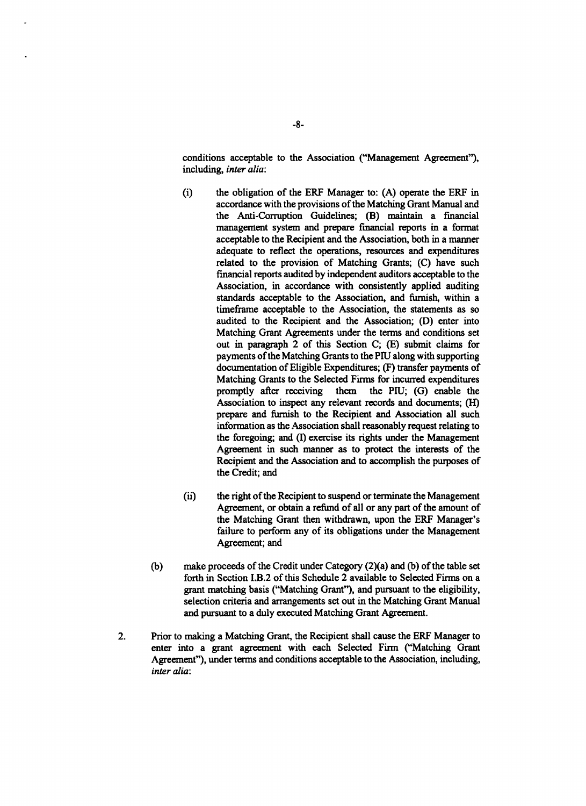conditions acceptable to the Association ("Management Agreement"), including, *inter alia:*

- (i) the obligation of the ERF Manager to: **(A)** operate the ERF in accordance with the provisions of the Matching Grant Manual and the Anti-Corruption Guidelines; (B) maintain a financial management system and prepare financial reports in a format acceptable to the Recipient and the Association, both in a manner adequate to reflect the operations, resources and expenditures related to the provision of Matching Grants; **(C)** have such financial reports audited **by** independent auditors acceptable to the Association, in accordance with consistently applied auditing standards acceptable to the Association, and furnish, within a timeframe acceptable to the Association, the statements as so audited to the Recipient and the Association; **(D)** enter into Matching Grant Agreements under the terms and conditions set out in paragraph 2 of this Section **C; (E)** submit claims for payments of the Matching Grants to the **PIU** along with supporting documentation of Eligible Expenditures; (F) transfer payments of Matching Grants to the Selected Firms for incurred expenditures promptly after receiving them the **PIU; (G)** enable the Association to inspect any relevant records and documents; (H) prepare and furnish to the Recipient and Association all such information as the Association shall reasonably request relating to the foregoing; and **(I)** exercise its rights under the Management Agreement in such manner as to protect the interests of the Recipient and the Association and to accomplish the purposes of the Credit; and
- (ii) the right of the Recipient to suspend or terminate the Management Agreement, or obtain a refund of all or any part of the amount of the Matching Grant then withdrawn, upon the ERF Manager's failure to perform any of its obligations under the Management Agreement; and
- **(b)** make proceeds of the Credit under Category (2)(a) and **(b)** of the table set forth in Section I.B.2 of this Schedule 2 available to Selected Firms on a grant matching basis ("Matching Grant"), and pursuant to the eligibility, selection criteria and arrangements set out in the Matching Grant Manual and pursuant to a duly executed Matching Grant Agreement.
- 2. Prior to making a Matching Grant, the Recipient shall cause the ERF Manager to enter into a grant agreement with each Selected Firm ("Matching Grant Agreement"), under terms and conditions acceptable to the Association, including, *inter alia:*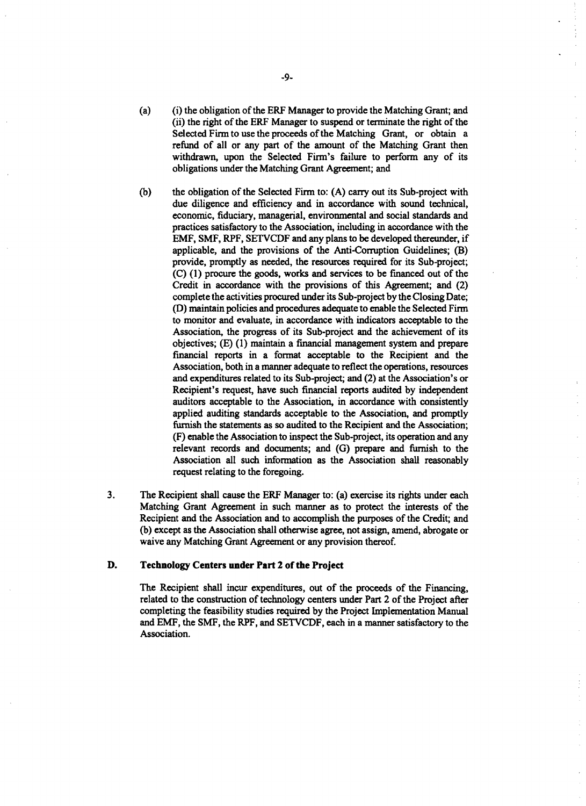- (a) (i) the obligation of the ERF Manager to provide the Matching Grant; and (ii) the right of the ERF Manager to suspend or terminate the right of the Selected Firm to use the proceeds of the Matching Grant, or obtain a refund of all or any part of the amount of the Matching Grant then withdrawn, upon the Selected Firm's failure to perform any of its obligations under the Matching Grant Agreement; and
- **(b)** the obligation of the Selected Firm to: **(A)** carry out its Sub-project with due diligence and efficiency and in accordance with sound technical, economic, fiduciary, managerial, environmental and social standards and practices satisfactory to the Association, including in accordance with the EMF, **SMF,** RPF, **SETVCDF** and any plans to be developed thereunder, if applicable, and the provisions of the Anti-Corruption Guidelines; (B) provide, promptly as needed, the resources required for its Sub-project; **(C) (1)** procure the goods, works and services to be financed out of the Credit in accordance with the provisions of this Agreement; and (2) complete the activities procured under its Sub-project **by** the Closing Date; **(D)** maintain policies and procedures adequate to enable the Selected Firm to monitor and evaluate, in accordance with indicators acceptable to the Association, the progress of its Sub-project and the achievement of its objectives; **(E) (1)** maintain a financial management system and prepare financial reports in a format acceptable to the Recipient and the Association, both in a manner adequate to reflect the operations, resources and expenditures related to its Sub-project; and (2) at the Association's or Recipient's request, have such financial reports audited **by** independent auditors acceptable to the Association, in accordance with consistently applied auditing standards acceptable to the Association, and promptly furnish the statements as so audited to the Recipient and the Association; (F) enable the Association to inspect the Sub-project, its operation and any relevant records and documents; and **(G)** prepare and furnish to the Association all such information as the Association shall reasonably request relating to the foregoing.
- **3.** The Recipient shall cause the ERF Manager to: (a) exercise its rights under each Matching Grant Agreement in such manner as to protect the interests of the Recipient and the Association and to accomplish the purposes of the Credit; and **(b)** except as the Association shall otherwise agree, not assign, amend, abrogate or waive any Matching Grant Agreement or any provision thereof.

# **D. Technology Centers under Part 2 of the Project**

**The** Recipient shall incur expenditures, out of the proceeds of the Financing, related to the construction of technology centers under Part **2 of the Project after** completing the feasibility studies required **by** the Project Implementation Manual and EMF, the **SMF,** the RPF, and **SETVCDF,** each in a manner satisfactory to the Association.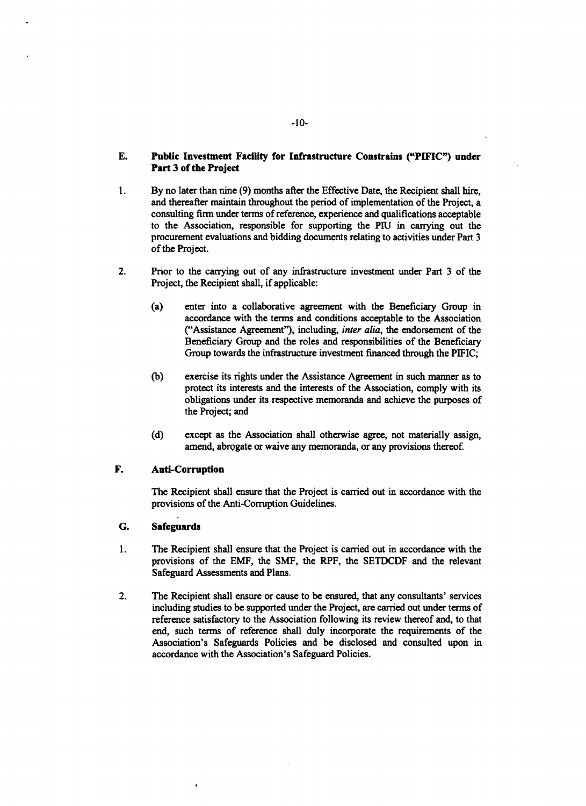# **E. Public Investment Facility for Infrastructure Constrains ("PIFIC") under Part 3 of the Project**

- 1. **By no later than nine (9)** months after the Effective Date, the Recipient shall hire, and thereafter maintain throughout the period of implementation of the Project, a consulting firm under terms of reference, experience and qualifications acceptable to the Association, responsible for supporting the PlU in carrying out the procurement evaluations and bidding documents relating to activities under Part **3** of the Project.
- 2. Prior to the carrying out of any infrastructure investment under Part **3** of the Project, the Recipient shall, if applicable:
	- (a) enter into a collaborative agreement with the Beneficiary Group in accordance with the terms and conditions acceptable to the Association ("Assistance Agreement"), including, *inter alia,* the endorsement of the Beneficiary Group and the roles and responsibilities of the Beneficiary Group towards the infrastructure investment financed through the PIFIC;
	- **(b)** exercise its rights under the Assistance Agreement in such manner as to protect its interests and the interests of the Association, comply with its obligations under its respective memoranda and achieve the purposes of the Project; and
	- **(d)** except as the Association shall otherwise agree, not materially assign, amend, abrogate or waive any memoranda, or any provisions thereof.

# F. Anti-Corruption

The Recipient shall ensure that the Project is carried out in accordance with the provisions of the Anti-Corruption Guidelines.

# **G. Safeguards**

- 1 **.** The Recipient shall ensure that the Project is carried out in accordance with the provisions of the EMF, the **SMF,** the RPF, the **SETDCDF** and the relevant Safeguard Assessments and Plans.
- 2. The Recipient shall ensure or cause to be ensured, that any consultants' services including studies to be supported under the Project, are carried out under terms of reference satisfactory to the Association following its review thereof and, to that end, such terms of reference shall duly incorporate the requirements of the Association's Safeguards Policies and be disclosed and consulted upon in accordance with the Association's Safeguard Policies.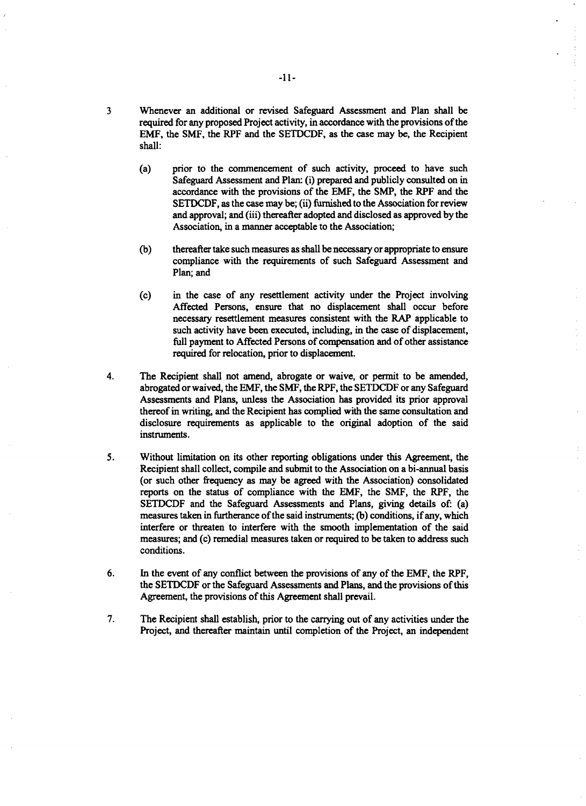- **3** Whenever an additional or revised Safeguard Assessment and Plan shall **be** required for any proposed Project activity, in accordance with the provisions of the EMF, the **SMF,** the RPF and the **SETDCDF,** as the case may be, the Recipient shall:
	- (a) prior to the commencement of such activity, proceed to have such Safeguard Assessment and Plan: (i) prepared and publicly consulted on in accordance with the provisions of the EMF, the SMP, the RPF and the **SETDCDF,** as the case may be; (ii) furnished to the Association for review and approval; and (iii) thereafter adopted and disclosed as approved **by** the Association, in a manner acceptable to the Association;
	- **(b)** thereafter take such measures as shall be necessary or appropriate to ensure compliance with the requirements of such Safeguard Assessment and Plan; and
	- (c) in the case of any resettlement activity under the Project involving Affected Persons, ensure that no displacement shall occur before necessary resettlement measures consistent with the RAP applicable to such activity have been executed, including, in the case of displacement, full payment to Affected Persons of compensation and of other assistance required for relocation, prior to displacement.
- 4. The Recipient shall not amend, abrogate or waive, or permit to be amended, abrogated or waived, the EMF, the SMF, the RPF, the SETDCDF or any Safeguard Assessments and Plans, unless the Association has provided its prio disclosure requirements as applicable to the original adoption of the said instruments.
- **5.** Without limitation on its other reporting obligations under this Agreement, the Recipient shall collect, compile and submit to the Association on a bi-annual basis (or such other frequency as may be agreed with the Association) consolidated reports on the status of compliance with the EMF, the **SMF,** the RPF, the **SETDCDF** and the Safeguard Assessments and Plans, giving details of: (a) measures taken in furtherance of the said instruments; **(b)** conditions, if any, which interfere or threaten to interfere with the smooth implementation of the said measures; and (c) remedial measures taken or required to be taken to address such conditions.
- **6.** In the event of any conflict between the provisions of any of the EMF, the RPF, the **SETDCDF** or the Safeguard Assessments and Plans, and the provisions of this Agreement, the provisions of this Agreement shall prevail.
- **7.** The Recipient shall establish, prior to the carrying out of any activities under the Project, and thereafter maintain until completion of the Project, an independent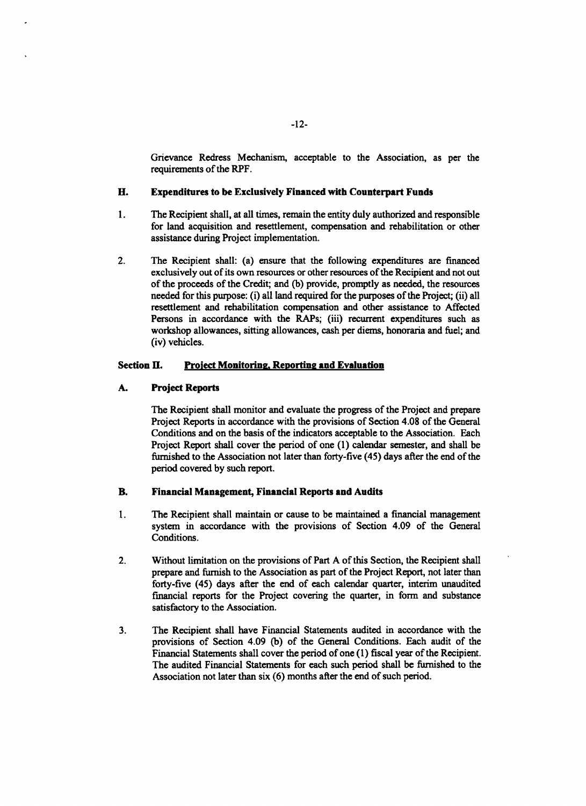Grievance Redress Mechanism, acceptable to the Association, as per the requirements of the RPF.

## **H.** Expenditures to be Exclusively Financed with Counterpart Funds

- 1 **.** The Recipient shall, at all times, remain the entity duly authorized and responsible for land acquisition and resettlement, compensation and rehabilitation or other assistance during Project implementation.
- 2. The Recipient shall: (a) ensure that the following expenditures are financed exclusively out of its own resources or other resources of the Recipient and not out of the proceeds of the Credit; and **(b)** provide, promptly as needed, the resources needed for this purpose: (i) all land required for the purposes of the Project; (ii) all resettlement and rehabilitation compensation and other assistance to Affected Persons in accordance with the RAPs; (iii) recurrent expenditures such as workshop allowances, sitting allowances, cash per diems, honoraria and fuel; and (iv) vehicles.

# Section **H.** Project Monitoring, Reporting and Evaluation

# **A.** Project Reports

The Recipient shall monitor and evaluate the progress of the Project and prepare Project Reports in accordance with the provisions of Section 4.08 of the General Conditions and on the basis of the indicators acceptable to the Association. Each Project Report shall cover the period of one **(1)** calendar semester, and shall be furnished to the Association not later than forty-five *(45)* days after the end of the period covered **by** such report.

# B. Financial Management, Financial **Reports and Audits**

- 1 **.** The Recipient shall maintain or cause to be maintained a financial management system in accordance with the provisions of Section 4.09 of the General Conditions.
- 2. Without limitation on the provisions of Part **A** of this Section, the Recipient shall prepare and furnish to the Association as part of the Project Report, not later than forty-five *(45)* days after the end of each calendar quarter, interim unaudited financial reports for the Project covering the quarter, in form and substance satisfactory to the Association.
- **3.** The Recipient shall have Financial Statements audited in accordance with the provisions of Section 4.09 **(b)** of the General Conditions. Each audit of the Financial Statements shall cover the period of one **(1)** fiscal year of the Recipient. The audited Financial Statements for each such period shall be furnished to the Association not later than six **(6)** months after the end of such period.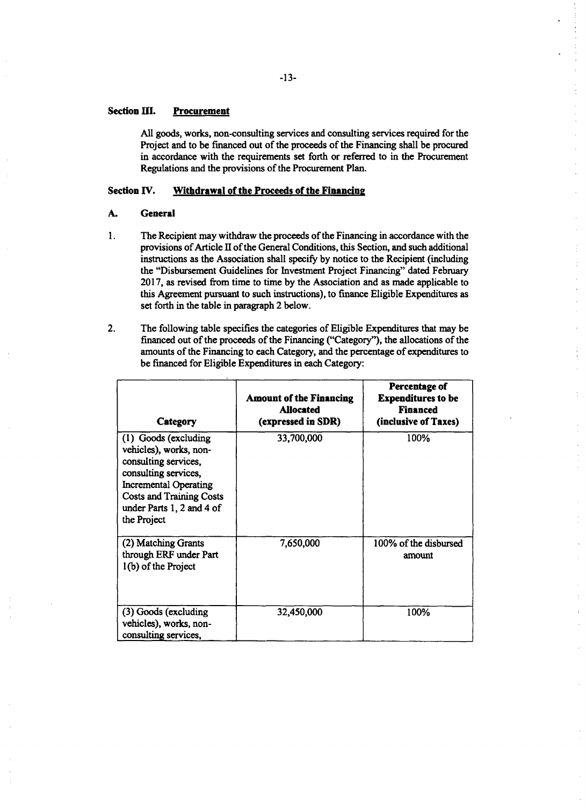# Section **III. Procurement**

**All** goods, works, non-consulting services and consulting services required for the Project and to be financed out of the proceeds of the Financing shall be procured in accordance with the requirements set forth or referred to in the Procurement Regulations and the provisions of the Procurement Plan.

# Section **IV. Withdrawal of the Proceeds of the Financing**

#### **A.** General

- 1. The Recipient may withdraw the proceeds of the Financing in accordance with the provisions of Article II of the General Conditions, this Section, and such additional instructions as the Association shall specify **by** notice to the Recipient (including the "Disbursement Guidelines for Investment Project Financing" dated February **2017,** as revised from time to time **by** the Association and as made applicable to this Agreement pursuant to such instructions), to finance Eligible Expenditures as set forth in the table in paragraph 2 below.
- 2. The following table specifies the categories of Eligible Expenditures that may be financed out of the proceeds of the Financing ("Category"), the allocations of the amounts of the Financing to each Category, and the percentage of expenditures to be financed for Eligible Expenditures in each Category:

| Category                                                                                                                                                                                                      | <b>Amount of the Financing</b><br><b>Allocated</b><br>(expressed in SDR) | Percentage of<br><b>Expenditures to be</b><br><b>Financed</b><br>(inclusive of Taxes) |
|---------------------------------------------------------------------------------------------------------------------------------------------------------------------------------------------------------------|--------------------------------------------------------------------------|---------------------------------------------------------------------------------------|
| (1) Goods (excluding<br>vehicles), works, non-<br>consulting services,<br>consulting services,<br><b>Incremental Operating</b><br><b>Costs and Training Costs</b><br>under Parts 1, 2 and 4 of<br>the Project | 33,700,000                                                               | 100%                                                                                  |
| (2) Matching Grants<br>through ERF under Part<br>1(b) of the Project                                                                                                                                          | 7,650,000                                                                | 100% of the disbursed<br>amount                                                       |
| (3) Goods (excluding<br>vehicles), works, non-<br>consulting services,                                                                                                                                        | 32,450,000                                                               | 100%                                                                                  |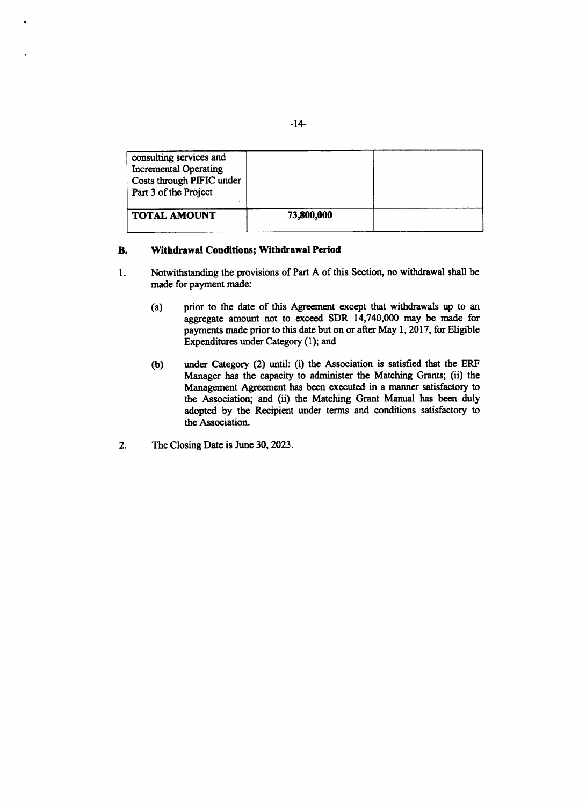| consulting services and<br><b>Incremental Operating</b><br>Costs through PIFIC under<br>Part 3 of the Project |            |  |
|---------------------------------------------------------------------------------------------------------------|------------|--|
| <b>TOTAL AMOUNT</b>                                                                                           | 73,800,000 |  |

# **B. Withdrawal Conditions; Withdrawal Period**

- 1. Notwithstanding the provisions of **Part A** of this Section, no withdrawal shall be made for payment made:
	- (a) prior to the date of this Agreement except that withdrawals up to an aggregate amount not to exceed SDR 14,740,000 may be made for payments made prior to this date but on or after May **1, 2017,** for Eligible Expenditures under Category **(1);** and
	- **(b)** under Category (2) until: (i) the Association is satisfied that the ERF Manager has the capacity to administer the Matching Grants; (ii) the Management Agreement has been executed in a manner satisfactory to the Association; and (ii) the Matching Grant Manual has been duly adopted **by** the Recipient under terms and conditions satisfactory to the Association.
- 2. The Closing Date is June **30, 2023.**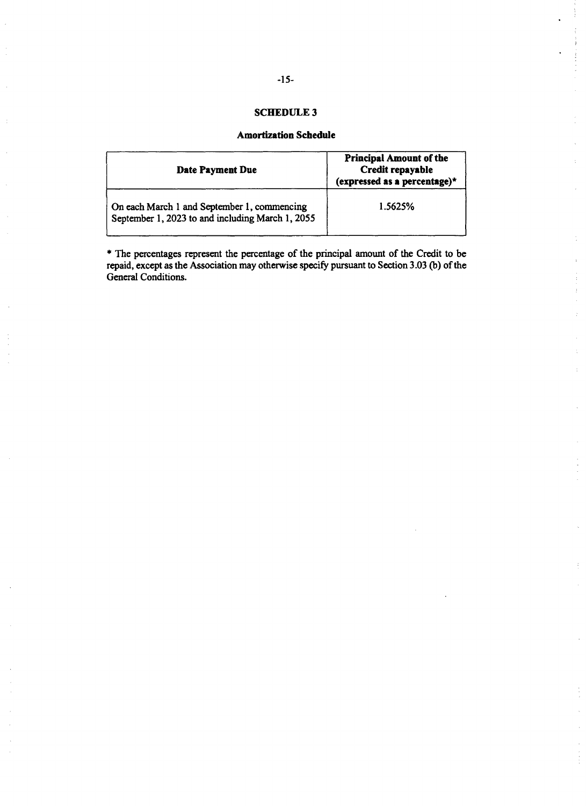# **SCHEDULE 3**

# **Amortization Schedule**

| Date Payment Due                                                                                | <b>Principal Amount of the</b><br>Credit repayable<br>(expressed as a percentage)* |
|-------------------------------------------------------------------------------------------------|------------------------------------------------------------------------------------|
| On each March 1 and September 1, commencing<br>September 1, 2023 to and including March 1, 2055 | 1.5625%                                                                            |

\* The percentages represent the percentage of the principal amount of the Credit to be repaid, except as the Association may otherwise specify pursuant to Section **3.03 (b)** of the General Conditions.

 $\frac{1}{2}$ 

 $\mathbb{R}^2$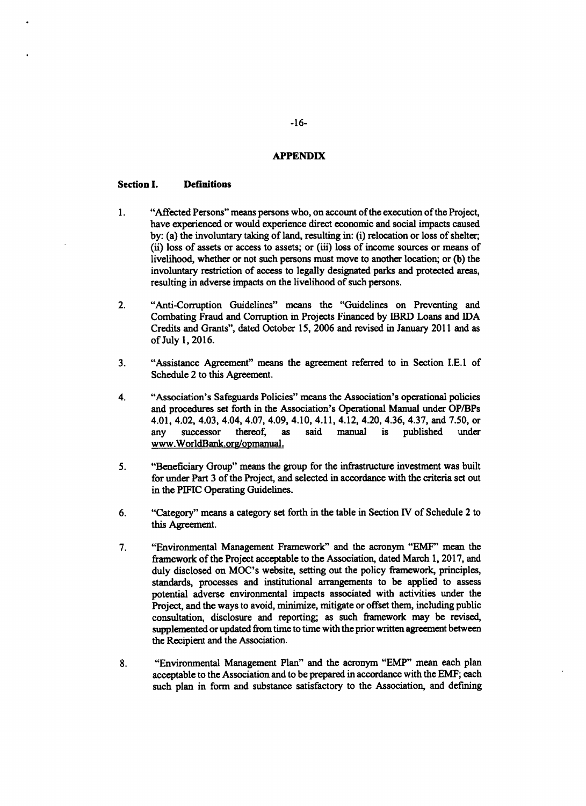#### **APPENDIX**

## **Section I. Definitions**

- 1. "Affected Persons" means persons who, on account of the execution of the Project, have experienced or would experience direct economic and social impacts caused **by:** (a) the involuntary taking of land, resulting in: (i) relocation or loss of shelter; (ii) loss of assets or access to assets; or (iii) loss of income sources or means of livelihood, whether or not such persons must move to another location; or **(b)** the involuntary restriction of access to legally designated parks and protected areas, resulting in adverse impacts on the livelihood of such persons.
- 2. "Anti-Corruption Guidelines" means the "Guidelines on Preventing and Combating Fraud and Corruption in Projects Financed **by** IBRD Loans and IDA Credits and Grants", dated October **15, 2006** and revised in January 2011 and as of July **1, 2016.**
- **3.** "Assistance Agreement" means the agreement referred to in Section **I.E.1** of Schedule 2 to this Agreement.
- 4. "Association's Safeguards Policies" means the Association's operational policies and procedures set forth in the Association's Operational Manual under OP/BPs 4.01, 4.02, 4.03, 4.04, 4.07, 4.09, 4.10, 4.11, 4.12, 4.20, 4.36, 4.37, and **7.50,** or any successor thereof, as said manual is published under www.WorldBank.org/opmanual.
- **5.** "Beneficiary Group" means the group for the infrastructure investment was built for under Part **3** of the Project, and selected in accordance with the criteria set out in the **PIFIC** Operating Guidelines.
- **6.** "Category" means a category set forth in the table in Section IV of Schedule 2 to this Agreement.
- **7.** "Environmental Management Framework" and the acronym "EMF" mean the framework of the Project acceptable to the Association, dated March **1, 2017,** and duly disclosed on MOC's website, setting out the policy framework, principles, standards, processes and institutional arrangements to be applied to assess potential adverse environmental impacts associated with activities under the Project, and the ways to avoid, minimize, mitigate or offset them, including public consultation, disclosure and reporting; as such framework may be revised, supplemented or updated from time to time with the prior written agreement between the Recipient and the Association.
- **8.** "Environmental Management Plan" and the acronym "EMP" mean each plan acceptable to the Association and to be prepared in accordance with the EMF; each such plan in form and substance satisfactory to the Association, and defining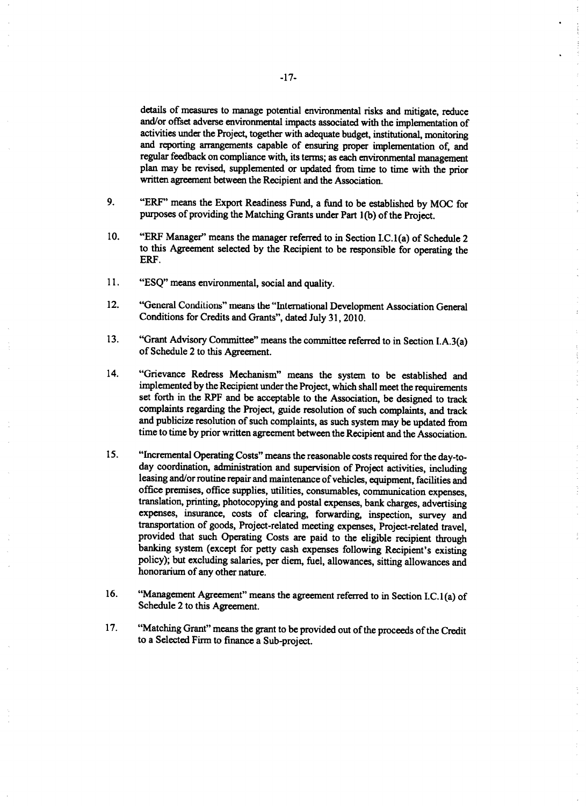details of measures to manage potential environmental risks and mitigate, reduce and/or offset adverse environmental impacts associated with the implementation of activities under the Project, together with adequate budget, institutional, monitoring and reporting arrangements capable of ensuring proper implementation of, and regular feedback on compliance with, its terms; as each environmental management plan may be revised, supplemented or updated from time to time with the prior written agreement between the Recipient and the Association.

 $\overline{z}$ 

 $\frac{1}{2}$  and  $\frac{1}{2}$ 

- **9.** "ERF" means the Export Readiness Fund, a fund to be established **by MOC** for purposes of providing the Matching Grants under Part **1(b)** of the Project.
- **10.** "ERF Manager" means the manager referred to in Section I.C. 1(a) of Schedule 2 to this Agreement selected **by** the Recipient to be responsible for operating the ERF.
- **11. "ESQ"** means environmental, social and quality.
- 12. "General Conditions" means the "International Development Association General Conditions for Credits and Grants", dated July **31, 2010.**
- **13.** "Grant Advisory Committee" means the committee referred to in Section I.A.3(a) of Schedule 2 to this Agreement.
- 14. "Grievance Redress Mechanism" means the system to be established and implemented **by** the Recipient under the Project, which shall meet the requirements set forth in the RPF and be acceptable to the Association, be designed to track complaints regarding the Project, guide resolution of such complaints, and track and publicize resolution of such complaints, as such system may be updated from time to time **by** prior written agreement between the Recipient and the Association.
- 15. "Incremental Operating Costs" means the reasonable costs required for the day-to-<br>day coordination, administration and supervision of Project activities, including<br>leasing and/or routine repair and maintenance of vehic translation, printing, photocopying and postal expenses, bank charges, advertising expenses, insurance, costs of clearing, forwarding, inspection, survey and transportation of goods, Project-related meeting expenses, Project-related travel. provided that such Operating Costs are paid to the eligible recipient through banking system (except for petty cash expenses following Recipient's existing policy); but excluding salaries, per diem, fuel, allowances, sitti honorarium of any other nature.
- **16.** "Management Agreement" means the agreement referred to in Section **I.C.** 1(a) of Schedule 2 to this Agreement.
- **17.** "Matching Grant" means the grant to be provided out of the proceeds of the Credit to a Selected Firm to finance a Sub-project.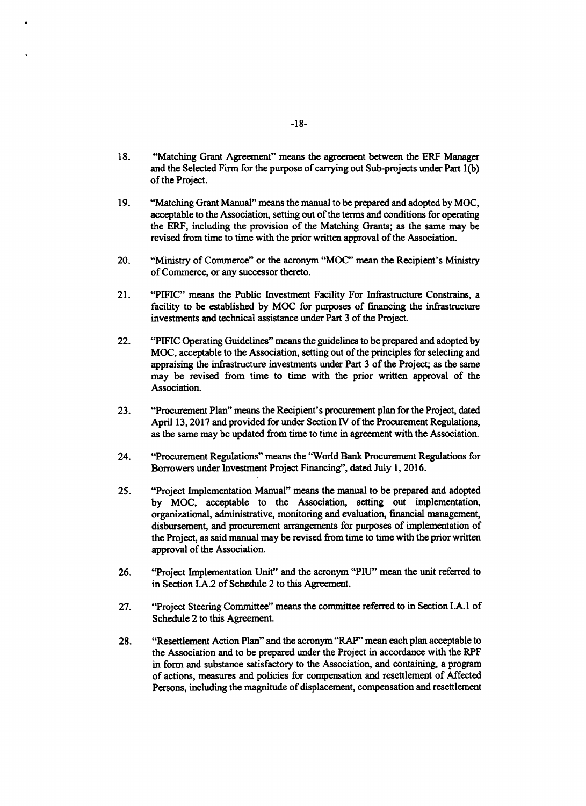- **18.** "Matching Grant Agreement" means the agreement between the ERF Manager and the Selected Firm for the purpose of carrying out Sub-projects under Part **1(b)** of the Project.
- **19.** "Matching Grant Manual" means the manual to be prepared and adopted **by MOC,** acceptable to the Association, setting out of the terms and conditions for operating the ERF, including the provision of the Matching Grants; as the same may be revised from time to time with the prior written approval of the Association.
- 20. "Ministry of Commerce" or the acronym **"MOC"** mean the Recipient's Ministry of Commerce, or any successor thereto.
- 21. **"PIFIC"** means the Public Investment Facility For Infrastructure Constrains, a facility to be established **by MOC** for purposes of financing the infrastructure investments and technical assistance under Part **3** of the Project.
- 22. "PIFIC Operating Guidelines" means the guidelines to be prepared and adopted **by MOC,** acceptable to the Association, setting out of the principles for selecting and appraising the infrastructure investments under Part **3** of the Project; as the same may be revised from time to time with the prior written approval of the Association.
- **23.** "Procurement Plan" means the Recipient's procurement plan for the Project, dated April **13, 2017** and provided for under Section IV of the Procurement Regulations, as the same may be updated from time to time in agreement with the Association.
- 24. "Procurement Regulations" means the "World Bank Procurement Regulations for Borrowers under Investment Project Financing", dated July **1, 2016.**
- *25.* "Project Implementation Manual" means the manual to be prepared and adopted **by MOC,** acceptable to the Association, setting out implementation, organizational, administrative, monitoring and evaluation, financial management, disbursement, and procurement arrangements for purposes of implementation of the Project, as said manual may be revised from time to time with the prior written approval of the Association.
- **26.** "Project Implementation Unit" and the acronym **"PIU"** mean the unit referred to in Section **I.A.2** of Schedule 2 to this Agreement.
- **27.** "Project Steering Committee" means the committee referred to in Section **I.A.** 1 of Schedule 2 to this Agreement.
- **28.** "Resettlement Action Plan" and the acronym "RAP" mean each plan acceptable to the Association and to be prepared under the Project in accordance with the RPF in form and substance satisfactory to the Association, and containing, a program of actions, measures and policies for compensation and resettlement of Affected Persons, including the magnitude of displacement, compensation and resettlement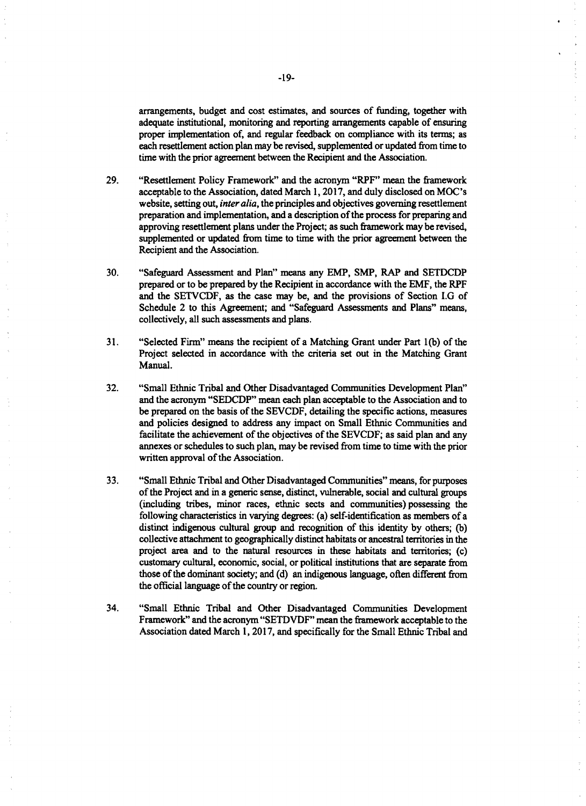arrangements, budget and cost estimates, and sources of funding, together with adequate institutional, monitoring and reporting arrangements capable of ensuring proper implementation of, and regular feedback on compliance with its terms; as each resettlement action plan may be revised, supplemented or updated from time to time with the prior agreement between the Recipient and the Association.

- **29.** "Resettlement Policy Framework" and the acronym "RPF" mean the framework acceptable to the Association, dated March **1, 2017,** and duly disclosed on MOC's website, setting out, *inter alia,* the principles and objectives governing resettlement preparation and implementation, and a description of the process for preparing and approving resettlement **plans** under the Project; as such framework may be revised, supplemented or updated from time to time with the prior agreement between the Recipient and the Association.
- **30.** "Safeguard Assessment and Plan" means any EMP, SMP, RAP and **SETDCDP** prepared or to be prepared **by** the Recipient in accordance with the EMF, the RPF and the **SETVCDF,** as the case may be, and the provisions of Section **I.G** of Schedule 2 to this Agreement; and "Safeguard Assessments and Plans" means, collectively, all such assessments and plans.
- **31.** "Selected Firm" means the recipient of a Matching Grant under Part **1(b)** of the Project selected in accordance with the criteria set out in the Matching Grant Manual.
- **32.** "Small Ethnic Tribal and Other Disadvantaged Communities Development Plan" and the acronym **"SEDCDP"** mean each plan acceptable to the Association and to be prepared on the basis of the **SEVCDF,** detailing the specific actions, measures and policies designed to address any impact on Small Ethnic Communities and facilitate the achievement of the objectives of the **SEVCDF;** as said plan and any annexes or schedules to such plan, may be revised from time to time with the prior written approval of the Association.
- **33.** "Small Ethnic Tribal and Other Disadvantaged Communities" means, for purposes of the Project and in a generic sense, distinct, vulnerable, social and cultural groups (including tribes, minor races, ethnic sects and communities) possessing the following characteristics in varying degrees: (a) self-identification as members of a distinct indigenous cultural group and recognition of this identity **by** others; **(b)** collective attachment to geographically distinct habitats or ancestral territories in the project area and to the natural resources in these habitats and territories; (c) customary cultural, economic, social, or political institutions that are separate from those of the dominant society; and **(d)** an indigenous language, often different from the official language of the country or region.
- 34. "Small Ethnic Tribal and Other Disadvantaged Communities Development Framework" and the acronym **"SETDVDF"** mean the framework acceptable to the Association dated March **1, 2017,** and specifically for the Small Ethnic Tribal and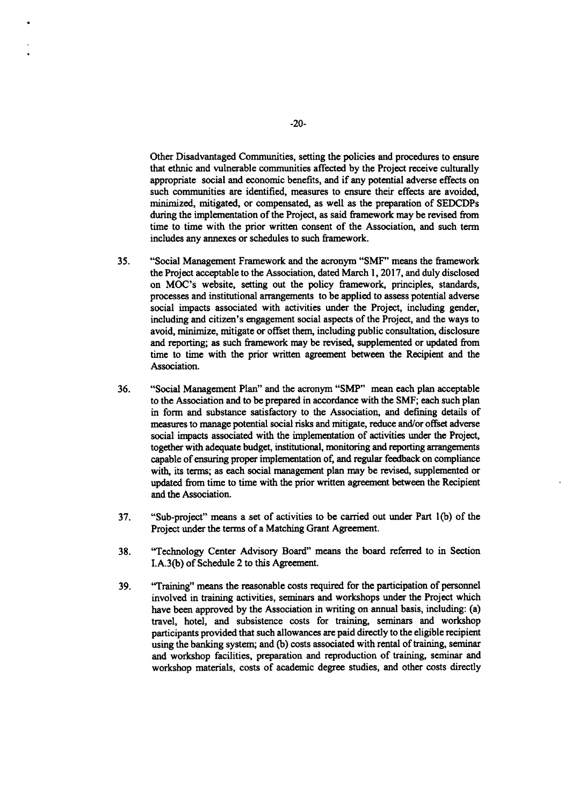Other Disadvantaged Communities, setting the policies and procedures to ensure that ethnic and vulnerable communities affected **by** the Project receive culturally appropriate social and economic benefits, and if any potential adverse effects on such communities are identified, measures to ensure their effects are avoided, minimized, mitigated, or compensated, as well as the preparation of SEDCDPs during the implementation of the Project, as said framework may be revised from time to time with the prior written consent of the Association, and such term includes any annexes or schedules to such framework.

- *35.* "Social Management Framework and the acronym **"SMF"** means the framework the Project acceptable to the Association, dated March **1, 2017,** and duly disclosed on MOC's website, setting out the policy framework, principles, standards, processes and institutional arrangements to be applied to assess potential adverse social impacts associated with activities under the Project, including gender, including and citizen's engagement social aspects of the Project, and the ways to avoid, minimize, mitigate or offset them, including public consultation, disclosure and reporting; as such framework may be revised, supplemented or updated from time to time with the prior written agreement between the Recipient and the Association.
- **36.** "Social Management Plan" and the acronym "SMP" mean each plan acceptable to the Association and to be prepared in accordance with the **SMF;** each such plan in form and substance satisfactory to the Association, and defining details of measures to manage potential social risks and mitigate, reduce and/or offset adverse social impacts associated with the implementation of activities under the Project, together with adequate budget, institutional, monitoring and reporting arrangements capable of ensuring proper implementation of, and regular feedback on compliance with, its terms; as each social management plan may be revised, supplemented or updated from time to time with the prior written agreement between the Recipient and the Association.
- **37.** "Sub-project" means a set of activities to be carried out under Part **1(b)** of the Project under the terms of a Matching Grant Agreement.
- **38.** "Technology Center Advisory Board" means the board referred to in Section **I.A.3(b)** of Schedule 2 to this Agreement.
- **39.** "Training" means the reasonable costs required for the participation of personnel involved in training activities, seminars and workshops under the Project which have been approved **by** the Association in writing on annual basis, including: (a) travel, hotel, and subsistence costs for training, seminars and workshop participants provided that such allowances are paid directly to the eligible recipient using the banking system; and **(b)** costs associated with rental of training, seminar and workshop facilities, preparation and reproduction of training, seminar and workshop materials, costs of academic degree studies, and other costs directly